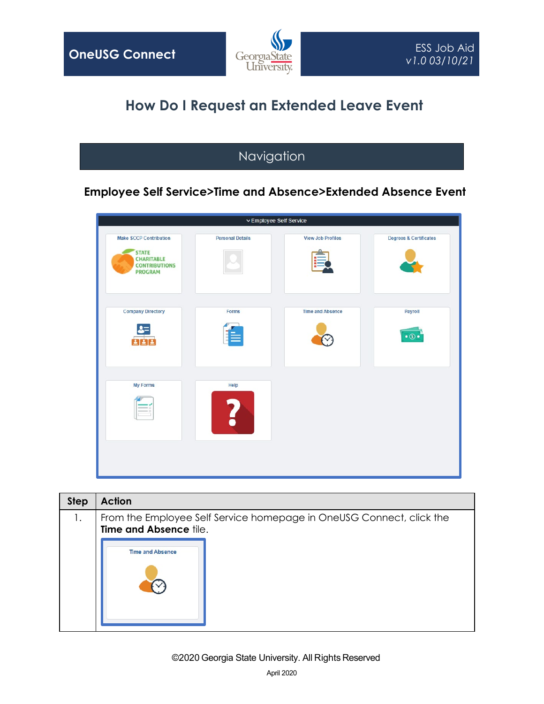

# **How Do I Request an Extended Leave Event**

# Navigation

### **Employee Self Service>Time and Absence>Extended Absence Event**

|                                                                                                              |                         | ▽ Employee Self Service  |                                   |
|--------------------------------------------------------------------------------------------------------------|-------------------------|--------------------------|-----------------------------------|
| <b>Make SCCP Contribution</b><br><b>STATE</b><br><b>CHARITABLE</b><br><b>CONTRIBUTIONS</b><br><b>PROGRAM</b> | <b>Personal Details</b> | <b>View Job Profiles</b> | <b>Degrees &amp; Certificates</b> |
| <b>Company Directory</b><br>222                                                                              | Forms<br>≣              | <b>Time and Absence</b>  | Payroll<br>$\bullet$ $\circ$      |
| <b>My Forms</b><br>$\equiv$ $\Box$                                                                           | Help                    |                          |                                   |

| <b>Step</b> | <b>Action</b>           |                                                                      |
|-------------|-------------------------|----------------------------------------------------------------------|
| 1.          | Time and Absence tile.  | From the Employee Self Service homepage in OneUSG Connect, click the |
|             | <b>Time and Absence</b> |                                                                      |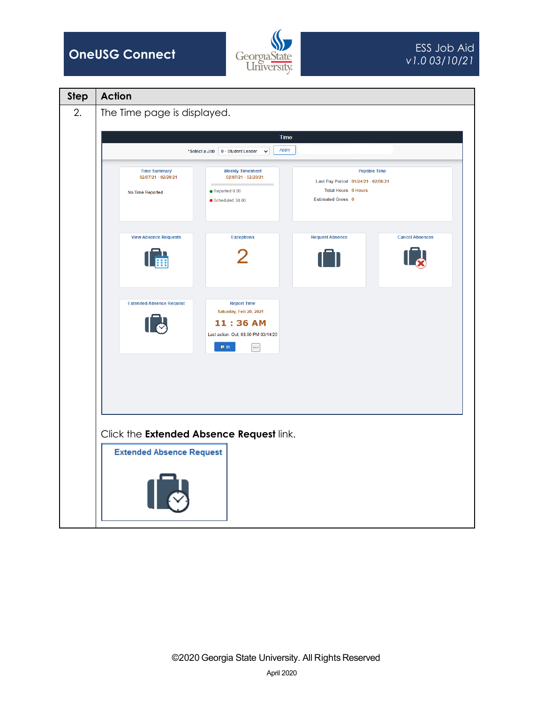

| <b>Step</b> | <b>Action</b>                                                                                                                                                                                                                                                                          |
|-------------|----------------------------------------------------------------------------------------------------------------------------------------------------------------------------------------------------------------------------------------------------------------------------------------|
| 2.          | The Time page is displayed.                                                                                                                                                                                                                                                            |
|             | Time                                                                                                                                                                                                                                                                                   |
|             | Apply<br>*Select a Job   0 - Student Leader<br>$\checkmark$                                                                                                                                                                                                                            |
|             | <b>Weekly Timesheet</b><br><b>Time Summary</b><br><b>Payable Time</b><br>02/07/21 - 02/20/21<br>02/07/21 - 02/20/21<br>Last Pay Period 01/24/21 - 02/06/21<br><b>Total Hours 0 Hours</b><br>$\bullet$ Reported 0.00<br>No Time Reported<br><b>Estimated Gross 0</b><br>Scheduled 38.00 |
|             | <b>View Absence Requests</b><br><b>Exceptions</b><br><b>Request Absence</b><br><b>Cancel Absences</b><br>霝                                                                                                                                                                             |
|             | <b>Extended Absence Request</b><br><b>Report Time</b><br>Saturday, Feb 20, 2021<br>11:36 AM<br>Last action: Out, 03:00 PM 03/14/20<br>$Q \ln$<br>$\cdots$                                                                                                                              |
|             |                                                                                                                                                                                                                                                                                        |
|             | Click the Extended Absence Request link.<br><b>Extended Absence Request</b>                                                                                                                                                                                                            |
|             |                                                                                                                                                                                                                                                                                        |
|             |                                                                                                                                                                                                                                                                                        |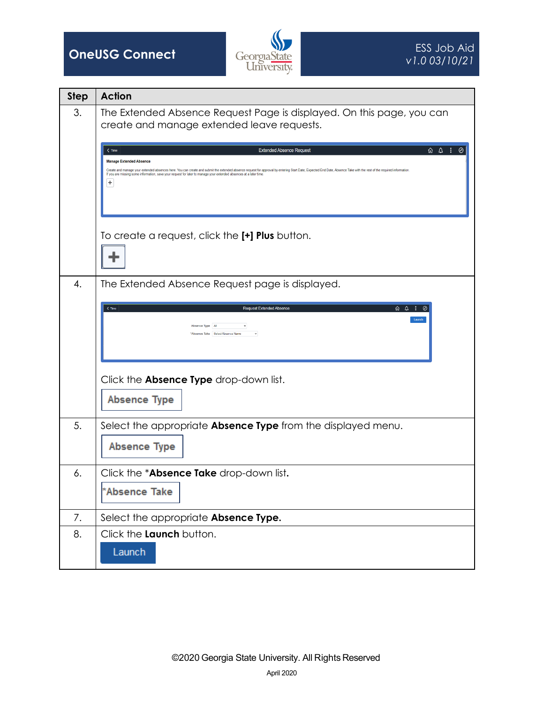

| <b>Step</b> | <b>Action</b>                                                                                                                                                                                                                                                                                                                                                                                                                                                                                                                                                                                                                                      |
|-------------|----------------------------------------------------------------------------------------------------------------------------------------------------------------------------------------------------------------------------------------------------------------------------------------------------------------------------------------------------------------------------------------------------------------------------------------------------------------------------------------------------------------------------------------------------------------------------------------------------------------------------------------------------|
| 3.          | The Extended Absence Request Page is displayed. On this page, you can<br>create and manage extended leave requests.<br>$\hat{\omega}$ $\Delta$ : $\odot$<br>$\zeta$ Time<br><b>Extended Absence Request</b><br><b>Manage Extended Absence</b><br>Create and manage your extended absences here. You can create and submit the extended absence request for approval by entering Start Date, Expected End Date, Absence Take with the rest of the required information<br>If you are missing some information, save your request for later to manage your extended absences at a later time<br>٠<br>To create a request, click the [+] Plus button. |
| 4.          | The Extended Absence Request page is displayed.<br>⋒ △ :<br>$<$ Time<br><b>Request Extended Absence</b><br>Launch<br>Absence Type All<br>'Absence Take Select Absence Name<br>Click the <b>Absence Type</b> drop-down list.<br><b>Absence Type</b>                                                                                                                                                                                                                                                                                                                                                                                                 |
| 5.          | Select the appropriate <b>Absence Type</b> from the displayed menu.<br><b>Absence Type</b>                                                                                                                                                                                                                                                                                                                                                                                                                                                                                                                                                         |
| 6.          | Click the *Absence Take drop-down list.<br>*Absence Take                                                                                                                                                                                                                                                                                                                                                                                                                                                                                                                                                                                           |
| 7.          | Select the appropriate Absence Type.                                                                                                                                                                                                                                                                                                                                                                                                                                                                                                                                                                                                               |
| 8.          | Click the Launch button.<br>Launch                                                                                                                                                                                                                                                                                                                                                                                                                                                                                                                                                                                                                 |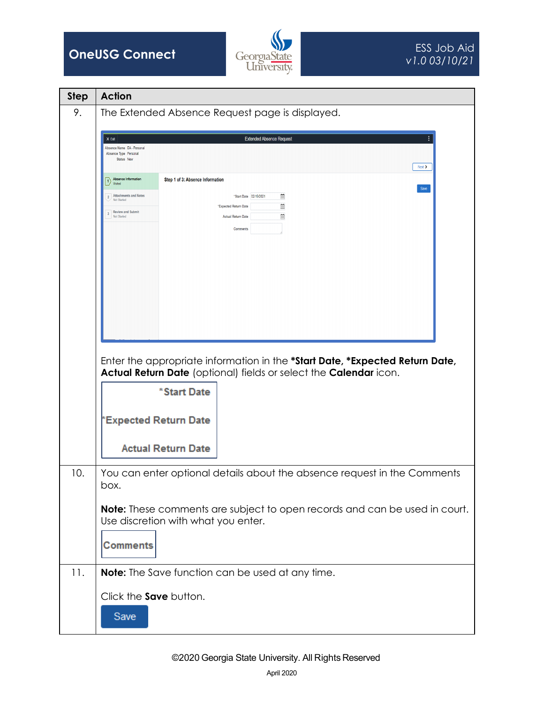



| <b>Step</b> | <b>Action</b>                                                                                           |
|-------------|---------------------------------------------------------------------------------------------------------|
| 9.          | The Extended Absence Request page is displayed.                                                         |
|             | ÷<br><b>Extended Absence Request</b><br>$X$ Exit                                                        |
|             | Absence Name EA - Personal<br>Absence Type Personal<br>Status New                                       |
|             | $Next$ ><br>Absence Information<br>Step 1 of 3: Absence Information                                     |
|             | Save<br>2 Attachments and Notes<br>*Start Date 02/19/2021<br>曲<br><b>Not Started</b>                    |
|             | 曲<br>"Expected Return Date<br><b>Review and Submit</b><br>Ë<br>Not Started<br><b>Actual Return Date</b> |
|             | <b>Comments</b>                                                                                         |
|             |                                                                                                         |
|             |                                                                                                         |
|             |                                                                                                         |
|             |                                                                                                         |
|             |                                                                                                         |
|             |                                                                                                         |
|             | Enter the appropriate information in the *Start Date, *Expected Return Date,                            |
|             | Actual Return Date (optional) fields or select the Calendar icon.                                       |
|             | *Start Date                                                                                             |
|             | *Expected Return Date                                                                                   |
|             |                                                                                                         |
|             | <b>Actual Return Date</b>                                                                               |
| 10.         | You can enter optional details about the absence request in the Comments<br>box.                        |
|             | Note: These comments are subject to open records and can be used in court.                              |
|             | Use discretion with what you enter.                                                                     |
|             | <b>Comments</b>                                                                                         |
| 11.         | <b>Note:</b> The Save function can be used at any time.                                                 |
|             | Click the Save button.                                                                                  |
|             | Save                                                                                                    |
|             |                                                                                                         |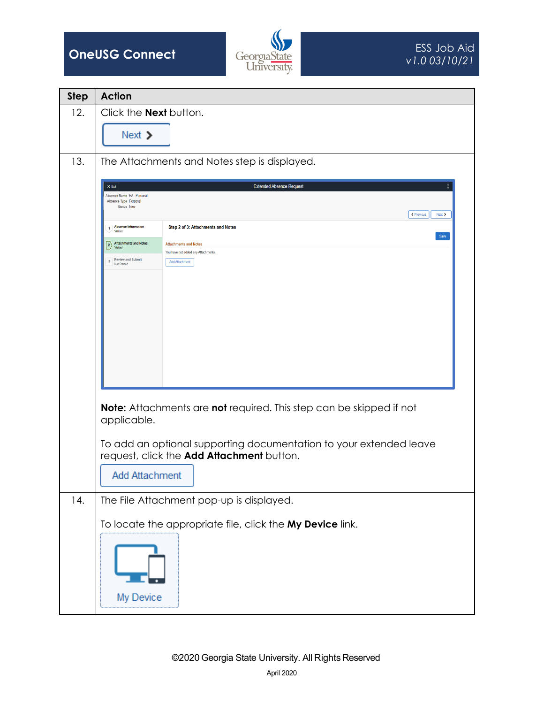



| <b>Step</b> | <b>Action</b>                                                                                                                                                                                                                                                                                                                                                                                                                                                                                               |
|-------------|-------------------------------------------------------------------------------------------------------------------------------------------------------------------------------------------------------------------------------------------------------------------------------------------------------------------------------------------------------------------------------------------------------------------------------------------------------------------------------------------------------------|
| 12.         | Click the <b>Next</b> button.                                                                                                                                                                                                                                                                                                                                                                                                                                                                               |
|             | Next $\triangleright$                                                                                                                                                                                                                                                                                                                                                                                                                                                                                       |
| 13.         | The Attachments and Notes step is displayed.                                                                                                                                                                                                                                                                                                                                                                                                                                                                |
|             | ÷<br><b>Extended Absence Request</b><br>$\times$ Exit<br>Absence Name EA - Personal<br>Absence Type Personal<br><b>Status New</b><br>← Previous<br>$Next$ ><br>1 Absence Information<br>Step 2 of 3: Attachments and Notes<br>Visited<br>Save<br>2 Attachments and Notes<br><b>Attachments and Notes</b><br>You have not added any Attachments<br><b>Review and Submit</b><br>3 <sup>1</sup><br><b>Add Attachment</b><br>Not Started<br>Note: Attachments are not required. This step can be skipped if not |
|             | applicable.                                                                                                                                                                                                                                                                                                                                                                                                                                                                                                 |
|             | To add an optional supporting documentation to your extended leave<br>request, click the Add Attachment button.<br><b>Add Attachment</b>                                                                                                                                                                                                                                                                                                                                                                    |
| 14.         | The File Attachment pop-up is displayed.                                                                                                                                                                                                                                                                                                                                                                                                                                                                    |
|             | To locate the appropriate file, click the My Device link.<br>My Device                                                                                                                                                                                                                                                                                                                                                                                                                                      |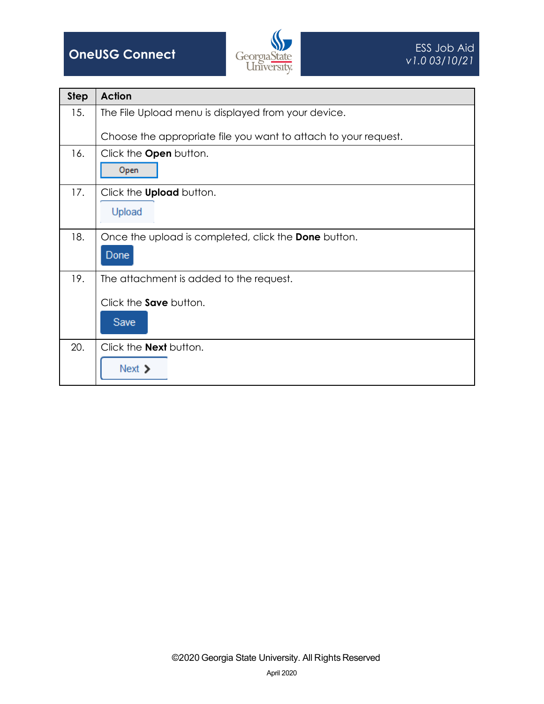

| <b>Step</b> | <b>Action</b>                                                                    |
|-------------|----------------------------------------------------------------------------------|
| 15.         | The File Upload menu is displayed from your device.                              |
|             | Choose the appropriate file you want to attach to your request.                  |
| 16.         | Click the <b>Open</b> button.<br>Open                                            |
| 17.         | Click the <b>Upload</b> button.<br>Upload                                        |
| 18.         | Once the upload is completed, click the Done button.<br>Done                     |
| 19.         | The attachment is added to the request.<br>Click the <b>Save</b> button.<br>Save |
| 20.         | Click the <b>Next</b> button.<br>Next $\triangleright$                           |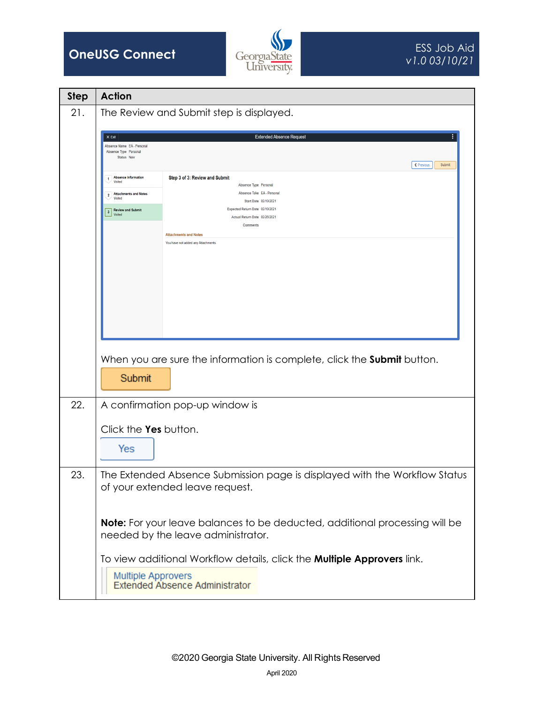



| <b>Step</b> | <b>Action</b>                                                                                                 |
|-------------|---------------------------------------------------------------------------------------------------------------|
| 21.         | The Review and Submit step is displayed.                                                                      |
|             | <b>Extended Absence Request</b><br>$\times$ Exit                                                              |
|             | Absence Name EA - Personal<br>Absence Type Personal                                                           |
|             | Status New<br>← Previous<br>Submit                                                                            |
|             | Step 3 of 3: Review and Submit<br><b>Absence Information</b><br>$\mathbf{1}$<br><b>Visited</b>                |
|             | Absence Type Personal<br>Absence Take EA - Personal<br>2 Attachments and Notes                                |
|             | Visited<br>Start Date 02/19/2021<br>Expected Return Date 02/19/2021<br><b>3</b> Review and Submit             |
|             | Visited<br>Actual Return Date 02/26/2021<br><b>Comments</b>                                                   |
|             | <b>Attachments and Notes</b>                                                                                  |
|             | You have not added any Attachments                                                                            |
|             |                                                                                                               |
|             |                                                                                                               |
|             |                                                                                                               |
|             |                                                                                                               |
|             |                                                                                                               |
|             |                                                                                                               |
|             |                                                                                                               |
|             | When you are sure the information is complete, click the Submit button.                                       |
|             | Submit                                                                                                        |
|             |                                                                                                               |
| 22.         | A confirmation pop-up window is                                                                               |
|             | Click the Yes button.                                                                                         |
|             |                                                                                                               |
|             | Yes                                                                                                           |
|             |                                                                                                               |
| 23.         | The Extended Absence Submission page is displayed with the Workflow Status<br>of your extended leave request. |
|             |                                                                                                               |
|             |                                                                                                               |
|             | Note: For your leave balances to be deducted, additional processing will be                                   |
|             | needed by the leave administrator.                                                                            |
|             | To view additional Workflow details, click the <b>Multiple Approvers</b> link.                                |
|             |                                                                                                               |
|             | Multiple Approvers<br>Extended Absence Administrator                                                          |
|             |                                                                                                               |